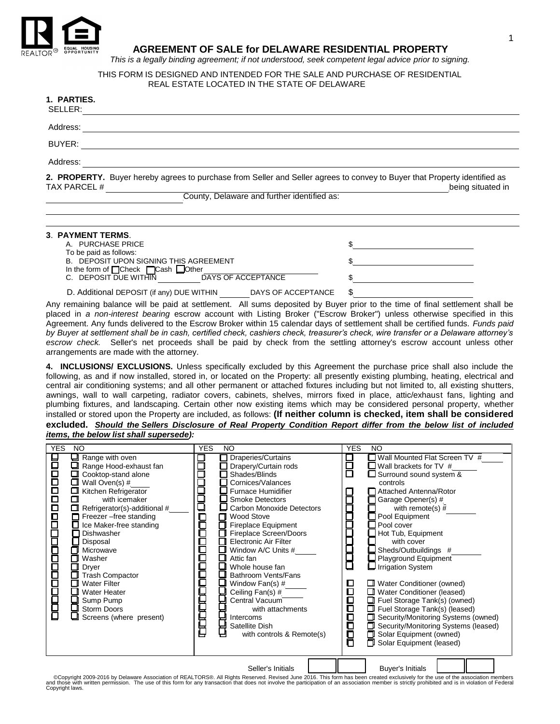

# **AGREEMENT OF SALE for DELAWARE RESIDENTIAL PROPERTY**

*This is a legally binding agreement; if not understood, seek competent legal advice prior to signing.*

# THIS FORM IS DESIGNED AND INTENDED FOR THE SALE AND PURCHASE OF RESIDENTIAL REAL ESTATE LOCATED IN THE STATE OF DELAWARE

# **1. PARTIES.**

| SELLER:                                                                                                                                   |                   |
|-------------------------------------------------------------------------------------------------------------------------------------------|-------------------|
| Address:                                                                                                                                  |                   |
| BUYER:                                                                                                                                    |                   |
| Address:                                                                                                                                  |                   |
| 2. PROPERTY. Buyer hereby agrees to purchase from Seller and Seller agrees to convey to Buyer that Property identified as<br>TAX PARCEL # | being situated in |

 $\blacksquare$  $\mathcal{L}_\mathcal{L} = \mathcal{L}_\mathcal{L} = \mathcal{L}_\mathcal{L} = \mathcal{L}_\mathcal{L} = \mathcal{L}_\mathcal{L} = \mathcal{L}_\mathcal{L} = \mathcal{L}_\mathcal{L} = \mathcal{L}_\mathcal{L} = \mathcal{L}_\mathcal{L} = \mathcal{L}_\mathcal{L} = \mathcal{L}_\mathcal{L} = \mathcal{L}_\mathcal{L} = \mathcal{L}_\mathcal{L} = \mathcal{L}_\mathcal{L} = \mathcal{L}_\mathcal{L} = \mathcal{L}_\mathcal{L} = \mathcal{L}_\mathcal{L}$ 

County, Delaware and further identified as:

# **3**. **PAYMENT TERMS**. A. PURCHASE PRICE To be paid as follows: B. DEPOSIT UPON SIGNING THIS AGREEMENT In the form of **Check Construction**<br>C. DEPOSIT DUE WITHIN DAYS OF ACCEPTANCE C. DEPOSIT DUE WITHIN

D. Additional DEPOSIT (if any) DUE WITHIN DAYS OF ACCEPTANCE \$

Any remaining balance will be paid at settlement. All sums deposited by Buyer prior to the time of final settlement shall be placed in *a non-interest bearing* escrow account with Listing Broker ("Escrow Broker") unless otherwise specified in this Agreement. Any funds delivered to the Escrow Broker within 15 calendar days of settlement shall be certified funds. *Funds paid by Buyer at settlement shall be in cash, certified check, cashiers check, treasurer's check, wire transfer or a Delaware attorney's escrow check.* Seller's net proceeds shall be paid by check from the settling attorney's escrow account unless other arrangements are made with the attorney.

**4. INCLUSIONS/ EXCLUSIONS.** Unless specifically excluded by this Agreement the purchase price shall also include the following, as and if now installed, stored in, or located on the Property: all presently existing plumbing, heating, electrical and central air conditioning systems; and all other permanent or attached fixtures including but not limited to, all existing shutters, awnings, wall to wall carpeting, radiator covers, cabinets, shelves, mirrors fixed in place, attic/exhaust fans, lighting and plumbing fixtures, and landscaping. Certain other now existing items which may be considered personal property, whether installed or stored upon the Property are included, as follows: **(If neither column is checked, item shall be considered excluded.** *Should the Sellers Disclosure of Real Property Condition Report differ from the below list of included items, the below list shall supersede):*

| <b>YES</b>           | NO                                                                                                                                                                                                                                                                                                                                                                                                                                                                  | <b>YES</b><br>NO                                                                                                                                                                                                                                                                                                                                                                                                                                                                                                                                           | <b>YES</b><br>NO.                                                                                                                                                                                                                                                                                                                                                                                                                                                                                                                                                                                                                                                                        |
|----------------------|---------------------------------------------------------------------------------------------------------------------------------------------------------------------------------------------------------------------------------------------------------------------------------------------------------------------------------------------------------------------------------------------------------------------------------------------------------------------|------------------------------------------------------------------------------------------------------------------------------------------------------------------------------------------------------------------------------------------------------------------------------------------------------------------------------------------------------------------------------------------------------------------------------------------------------------------------------------------------------------------------------------------------------------|------------------------------------------------------------------------------------------------------------------------------------------------------------------------------------------------------------------------------------------------------------------------------------------------------------------------------------------------------------------------------------------------------------------------------------------------------------------------------------------------------------------------------------------------------------------------------------------------------------------------------------------------------------------------------------------|
| 10000000000000000000 | $\Box$ Range with oven<br>❏<br>Range Hood-exhaust fan<br>□<br>Cooktop-stand alone<br>Wall Oven(s) #<br>□<br>Kitchen Refrigerator<br>□<br>П<br>with icemaker<br>$\Box$ Refrigerator(s)-additional #<br>Freezer -free standing<br>□ Ice Maker-free standing<br>Dishwasher<br>Disposal<br>Microwave<br>П<br>Washer<br>Dryer<br><b>Trash Compactor</b><br><b>Water Filter</b><br>П<br><b>Water Heater</b><br>Sump Pump<br><b>Storm Doors</b><br>Screens (where present) | □ Draperies/Curtains<br>□ Drapery/Curtain rods<br>$\Box$ Shades/Blinds<br>$\Box$ Cornices/Valances<br>$\square$ Furnace Humidifier<br><b>Smoke Detectors</b><br>□ Carbon Monoxide Detectors<br>cccccccccccccc<br>Wood Stove<br>п<br>$\Box$ Fireplace Equipment<br>Fireplace Screen/Doors<br><b>Electronic Air Filter</b><br>П<br>Window A/C Units #<br>Attic fan<br>l I<br>Whole house fan<br>Bathroom Vents/Fans<br>Window Fan(s) #<br>Ceiling Fan(s) #<br>Central Vacuum<br>with attachments<br>Intercoms<br>Satellite Dish<br>with controls & Remote(s) | $\Box$ Wall Mounted Flat Screen TV #<br>百日<br>$\Box$ Wall brackets for TV #<br>Surround sound system &<br>controls<br>□ Attached Antenna/Rotor<br>Garage Opener(s) #<br>with remote(s) $\bar{\#}$<br>Pool Equipment<br>Pool cover<br>$\Box$ Hot Tub, Equipment<br>with cover<br>Sheds/Outbuildings #<br>₿<br>Playground Equipment<br>Irrigation System<br><b>U</b> Water Conditioner (owned)<br>D<br>О<br><b>I</b> Water Conditioner (leased)<br>日<br>Fuel Storage Tank(s) (owned)<br>Fuel Storage Tank(s) (leased)<br>1000<br>1000<br>Security/Monitoring Systems (owned)<br>Ω<br>Security/Monitoring Systems (leased)<br>п<br>Solar Equipment (owned)<br>п<br>Solar Equipment (leased) |
|                      | 1.0000000101                                                                                                                                                                                                                                                                                                                                                                                                                                                        | Seller's Initials<br>$1.12 \times 0.040$ This<br>DEALTODOG ALD:                                                                                                                                                                                                                                                                                                                                                                                                                                                                                            | <b>Buyer's Initials</b><br>for the composite the                                                                                                                                                                                                                                                                                                                                                                                                                                                                                                                                                                                                                                         |

Copyright 2009-2016 by Delaware Association of REALTORS®. All Rights Reserved. Revised June 2016. This form has been created exclusively for the use of the association members and those with written permission. The use of Copyright laws.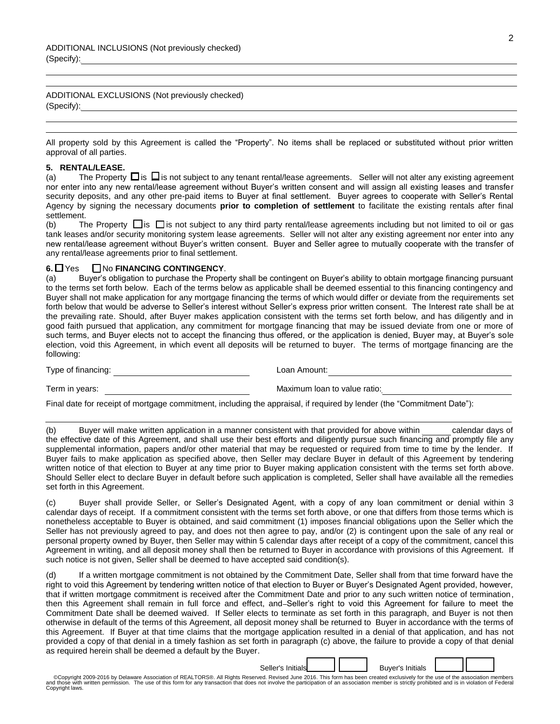ADDITIONAL EXCLUSIONS (Not previously checked)  $(Specify):$ 

All property sold by this Agreement is called the "Property". No items shall be replaced or substituted without prior written approval of all parties.

 $\mathcal{L}_\mathcal{L} = \mathcal{L}_\mathcal{L} = \mathcal{L}_\mathcal{L} = \mathcal{L}_\mathcal{L} = \mathcal{L}_\mathcal{L} = \mathcal{L}_\mathcal{L} = \mathcal{L}_\mathcal{L} = \mathcal{L}_\mathcal{L} = \mathcal{L}_\mathcal{L} = \mathcal{L}_\mathcal{L} = \mathcal{L}_\mathcal{L} = \mathcal{L}_\mathcal{L} = \mathcal{L}_\mathcal{L} = \mathcal{L}_\mathcal{L} = \mathcal{L}_\mathcal{L} = \mathcal{L}_\mathcal{L} = \mathcal{L}_\mathcal{L}$ 

#### **5. RENTAL/LEASE.**

(a) The Property  $\Box$  is  $\Box$  is not subject to any tenant rental/lease agreements. Seller will not alter any existing agreement nor enter into any new rental/lease agreement without Buyer's written consent and will assign all existing leases and transfer security deposits, and any other pre-paid items to Buyer at final settlement. Buyer agrees to cooperate with Seller's Rental Agency by signing the necessary documents **prior to completion of settlement** to facilitate the existing rentals after final settlement.

(b) The Property  $\Box$  is  $\Box$  is not subject to any third party rental/lease agreements including but not limited to oil or gas tank leases and/or security monitoring system lease agreements. Seller will not alter any existing agreement nor enter into any new rental/lease agreement without Buyer's written consent. Buyer and Seller agree to mutually cooperate with the transfer of any rental/lease agreements prior to final settlement.

#### **6.** Yes No **FINANCING CONTINGENCY**.

(a) Buyer's obligation to purchase the Property shall be contingent on Buyer's ability to obtain mortgage financing pursuant to the terms set forth below. Each of the terms below as applicable shall be deemed essential to this financing contingency and Buyer shall not make application for any mortgage financing the terms of which would differ or deviate from the requirements set forth below that would be adverse to Seller's interest without Seller's express prior written consent. The Interest rate shall be at the prevailing rate. Should, after Buyer makes application consistent with the terms set forth below, and has diligently and in good faith pursued that application, any commitment for mortgage financing that may be issued deviate from one or more of such terms, and Buyer elects not to accept the financing thus offered, or the application is denied, Buyer may, at Buyer's sole election, void this Agreement, in which event all deposits will be returned to buyer. The terms of mortgage financing are the following:

Type of financing: Type of financing: Type of financing: Type of financing: Type of financing: Type of  $\overline{a}$ 

Term in years: \_\_\_\_\_\_\_\_\_\_\_\_\_\_\_\_\_\_\_\_\_\_\_\_\_\_\_\_\_ Maximum loan to value ratio:\_\_\_\_\_\_\_\_\_\_\_\_\_\_\_\_\_\_\_\_\_\_\_\_\_\_\_\_

Final date for receipt of mortgage commitment, including the appraisal, if required by lender (the "Commitment Date"):

(b) Buyer will make written application in a manner consistent with that provided for above within \_\_\_\_\_\_ calendar days of the effective date of this Agreement, and shall use their best efforts and diligently pursue such financing and promptly file any supplemental information, papers and/or other material that may be requested or required from time to time by the lender. If Buyer fails to make application as specified above, then Seller may declare Buyer in default of this Agreement by tendering written notice of that election to Buyer at any time prior to Buyer making application consistent with the terms set forth above. Should Seller elect to declare Buyer in default before such application is completed, Seller shall have available all the remedies set forth in this Agreement.

 $\mathcal{L}_\mathcal{L} = \mathcal{L}_\mathcal{L} = \mathcal{L}_\mathcal{L} = \mathcal{L}_\mathcal{L} = \mathcal{L}_\mathcal{L} = \mathcal{L}_\mathcal{L} = \mathcal{L}_\mathcal{L} = \mathcal{L}_\mathcal{L} = \mathcal{L}_\mathcal{L} = \mathcal{L}_\mathcal{L} = \mathcal{L}_\mathcal{L} = \mathcal{L}_\mathcal{L} = \mathcal{L}_\mathcal{L} = \mathcal{L}_\mathcal{L} = \mathcal{L}_\mathcal{L} = \mathcal{L}_\mathcal{L} = \mathcal{L}_\mathcal{L}$ 

(c) Buyer shall provide Seller, or Seller's Designated Agent, with a copy of any loan commitment or denial within 3 calendar days of receipt. If a commitment consistent with the terms set forth above, or one that differs from those terms which is nonetheless acceptable to Buyer is obtained, and said commitment (1) imposes financial obligations upon the Seller which the Seller has not previously agreed to pay, and does not then agree to pay, and/or (2) is contingent upon the sale of any real or personal property owned by Buyer, then Seller may within 5 calendar days after receipt of a copy of the commitment, cancel this Agreement in writing, and all deposit money shall then be returned to Buyer in accordance with provisions of this Agreement. If such notice is not given, Seller shall be deemed to have accepted said condition(s).

(d) If a written mortgage commitment is not obtained by the Commitment Date, Seller shall from that time forward have the right to void this Agreement by tendering written notice of that election to Buyer or Buyer's Designated Agent provided, however, that if written mortgage commitment is received after the Commitment Date and prior to any such written notice of termination, then this Agreement shall remain in full force and effect, and Seller's right to void this Agreement for failure to meet the Commitment Date shall be deemed waived. If Seller elects to terminate as set forth in this paragraph, and Buyer is not then otherwise in default of the terms of this Agreement, all deposit money shall be returned to Buyer in accordance with the terms of this Agreement. If Buyer at that time claims that the mortgage application resulted in a denial of that application, and has not provided a copy of that denial in a timely fashion as set forth in paragraph (c) above, the failure to provide a copy of that denial as required herein shall be deemed a default by the Buyer.

Seller's Initials **Example 1 Buyer's Initials** 

Copyright 2009-2016 by Delaware Association of REALTORS®. All Rights Reserved. Revised June 2016. This form has been created exclusively for the use of the association members and those with written permission. The use of Copyright laws.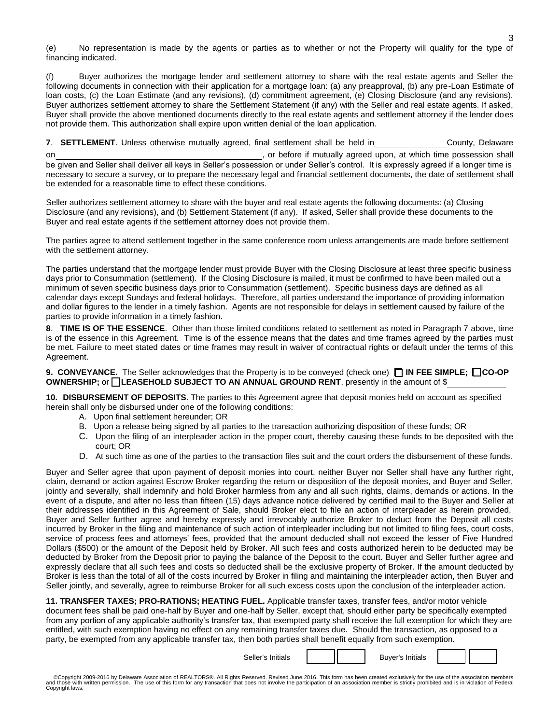(e) No representation is made by the agents or parties as to whether or not the Property will qualify for the type of financing indicated.

Buyer authorizes the mortgage lender and settlement attorney to share with the real estate agents and Seller the following documents in connection with their application for a mortgage loan: (a) any preapproval, (b) any pre-Loan Estimate of loan costs, (c) the Loan Estimate (and any revisions), (d) commitment agreement, (e) Closing Disclosure (and any revisions). Buyer authorizes settlement attorney to share the Settlement Statement (if any) with the Seller and real estate agents. If asked, Buyer shall provide the above mentioned documents directly to the real estate agents and settlement attorney if the lender does not provide them. This authorization shall expire upon written denial of the loan application.

**7. SETTLEMENT**. Unless otherwise mutually agreed, final settlement shall be held in **The County** County, Delaware on<sub>.</sub> The contract of the contract of the contract of the contract of the contract of the contract of the contract of the contract of the contract of the contract of the contract of the contract of the contract of the cont be given and Seller shall deliver all keys in Seller's possession or under Seller's control. It is expressly agreed if a longer time is necessary to secure a survey, or to prepare the necessary legal and financial settlement documents, the date of settlement shall be extended for a reasonable time to effect these conditions.

Seller authorizes settlement attorney to share with the buyer and real estate agents the following documents: (a) Closing Disclosure (and any revisions), and (b) Settlement Statement (if any). If asked, Seller shall provide these documents to the Buyer and real estate agents if the settlement attorney does not provide them.

The parties agree to attend settlement together in the same conference room unless arrangements are made before settlement with the settlement attorney.

The parties understand that the mortgage lender must provide Buyer with the Closing Disclosure at least three specific business days prior to Consummation (settlement). If the Closing Disclosure is mailed, it must be confirmed to have been mailed out a minimum of seven specific business days prior to Consummation (settlement). Specific business days are defined as all calendar days except Sundays and federal holidays. Therefore, all parties understand the importance of providing information and dollar figures to the lender in a timely fashion. Agents are not responsible for delays in settlement caused by failure of the parties to provide information in a timely fashion.

**8**. **TIME IS OF THE ESSENCE**. Other than those limited conditions related to settlement as noted in Paragraph 7 above, time is of the essence in this Agreement. Time is of the essence means that the dates and time frames agreed by the parties must be met. Failure to meet stated dates or time frames may result in waiver of contractual rights or default under the terms of this Agreement.

**9. CONVEYANCE.** The Seller acknowledges that the Property is to be conveyed (check one) **IN FEE SIMPLE; CO-OP OWNERSHIP;** or **I** LEASEHOLD SUBJECT TO AN ANNUAL GROUND RENT, presently in the amount of \$

**10. DISBURSEMENT OF DEPOSITS**. The parties to this Agreement agree that deposit monies held on account as specified herein shall only be disbursed under one of the following conditions:

- A. Upon final settlement hereunder; OR
- B. Upon a release being signed by all parties to the transaction authorizing disposition of these funds; OR
- C. Upon the filing of an interpleader action in the proper court, thereby causing these funds to be deposited with the court; OR
- D. At such time as one of the parties to the transaction files suit and the court orders the disbursement of these funds.

Buyer and Seller agree that upon payment of deposit monies into court, neither Buyer nor Seller shall have any further right, claim, demand or action against Escrow Broker regarding the return or disposition of the deposit monies, and Buyer and Seller, jointly and severally, shall indemnify and hold Broker harmless from any and all such rights, claims, demands or actions. In the event of a dispute, and after no less than fifteen (15) days advance notice delivered by certified mail to the Buyer and Seller at their addresses identified in this Agreement of Sale, should Broker elect to file an action of interpleader as herein provided, Buyer and Seller further agree and hereby expressly and irrevocably authorize Broker to deduct from the Deposit all costs incurred by Broker in the filing and maintenance of such action of interpleader including but not limited to filing fees, court costs, service of process fees and attorneys' fees, provided that the amount deducted shall not exceed the lesser of Five Hundred Dollars (\$500) or the amount of the Deposit held by Broker. All such fees and costs authorized herein to be deducted may be deducted by Broker from the Deposit prior to paying the balance of the Deposit to the court. Buyer and Seller further agree and expressly declare that all such fees and costs so deducted shall be the exclusive property of Broker. If the amount deducted by Broker is less than the total of all of the costs incurred by Broker in filing and maintaining the interpleader action, then Buyer and Seller jointly, and severally, agree to reimburse Broker for all such excess costs upon the conclusion of the interpleader action.

**11. TRANSFER TAXES; PRO-RATIONS; HEATING FUEL.** Applicable transfer taxes, transfer fees, and/or motor vehicle document fees shall be paid one-half by Buyer and one-half by Seller, except that, should either party be specifically exempted from any portion of any applicable authority's transfer tax, that exempted party shall receive the full exemption for which they are entitled, with such exemption having no effect on any remaining transfer taxes due. Should the transaction, as opposed to a party, be exempted from any applicable transfer tax, then both parties shall benefit equally from such exemption.

Seller's Initials  $\begin{vmatrix} 1 & 1 \\ 1 & 1 \end{vmatrix}$  Buyer's Initials

3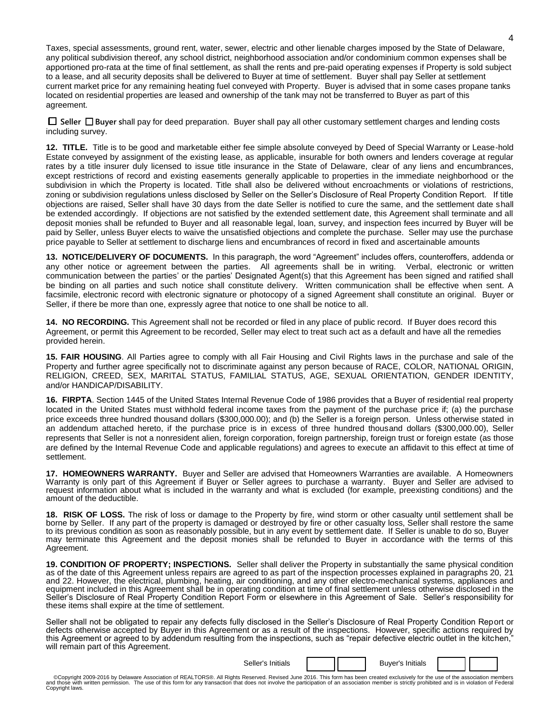Taxes, special assessments, ground rent, water, sewer, electric and other lienable charges imposed by the State of Delaware, any political subdivision thereof, any school district, neighborhood association and/or condominium common expenses shall be apportioned pro-rata at the time of final settlement, as shall the rents and pre-paid operating expenses if Property is sold subject to a lease, and all security deposits shall be delivered to Buyer at time of settlement. Buyer shall pay Seller at settlement current market price for any remaining heating fuel conveyed with Property. Buyer is advised that in some cases propane tanks located on residential properties are leased and ownership of the tank may not be transferred to Buyer as part of this agreement.

 **Seller Buyer s**hall pay for deed preparation. Buyer shall pay all other customary settlement charges and lending costs including survey.

**12. TITLE.** Title is to be good and marketable either fee simple absolute conveyed by Deed of Special Warranty or Lease-hold Estate conveyed by assignment of the existing lease, as applicable, insurable for both owners and lenders coverage at regular rates by a title insurer duly licensed to issue title insurance in the State of Delaware, clear of any liens and encumbrances, except restrictions of record and existing easements generally applicable to properties in the immediate neighborhood or the subdivision in which the Property is located. Title shall also be delivered without encroachments or violations of restrictions, zoning or subdivision regulations unless disclosed by Seller on the Seller's Disclosure of Real Property Condition Report. If title objections are raised, Seller shall have 30 days from the date Seller is notified to cure the same, and the settlement date shall be extended accordingly. If objections are not satisfied by the extended settlement date, this Agreement shall terminate and all deposit monies shall be refunded to Buyer and all reasonable legal, loan, survey, and inspection fees incurred by Buyer will be paid by Seller, unless Buyer elects to waive the unsatisfied objections and complete the purchase. Seller may use the purchase price payable to Seller at settlement to discharge liens and encumbrances of record in fixed and ascertainable amounts

**13. NOTICE/DELIVERY OF DOCUMENTS.** In this paragraph, the word "Agreement" includes offers, counteroffers, addenda or any other notice or agreement between the parties. All agreements shall be in writing. Verbal, electronic or written communication between the parties' or the parties' Designated Agent(s) that this Agreement has been signed and ratified shall be binding on all parties and such notice shall constitute delivery. Written communication shall be effective when sent. A facsimile, electronic record with electronic signature or photocopy of a signed Agreement shall constitute an original. Buyer or Seller, if there be more than one, expressly agree that notice to one shall be notice to all.

**14. NO RECORDING.** This Agreement shall not be recorded or filed in any place of public record. If Buyer does record this Agreement, or permit this Agreement to be recorded, Seller may elect to treat such act as a default and have all the remedies provided herein.

**15. FAIR HOUSING**. All Parties agree to comply with all Fair Housing and Civil Rights laws in the purchase and sale of the Property and further agree specifically not to discriminate against any person because of RACE, COLOR, NATIONAL ORIGIN, RELIGION, CREED, SEX, MARITAL STATUS, FAMILIAL STATUS, AGE, SEXUAL ORIENTATION, GENDER IDENTITY, and/or HANDICAP/DISABILITY.

**16. FIRPTA**. Section 1445 of the United States Internal Revenue Code of 1986 provides that a Buyer of residential real property located in the United States must withhold federal income taxes from the payment of the purchase price if; (a) the purchase price exceeds three hundred thousand dollars (\$300,000.00); and (b) the Seller is a foreign person. Unless otherwise stated in an addendum attached hereto, if the purchase price is in excess of three hundred thousand dollars (\$300,000.00), Seller represents that Seller is not a nonresident alien, foreign corporation, foreign partnership, foreign trust or foreign estate (as those are defined by the Internal Revenue Code and applicable regulations) and agrees to execute an affidavit to this effect at time of settlement.

**17. HOMEOWNERS WARRANTY.** Buyer and Seller are advised that Homeowners Warranties are available. A Homeowners Warranty is only part of this Agreement if Buyer or Seller agrees to purchase a warranty. Buyer and Seller are advised to request information about what is included in the warranty and what is excluded (for example, preexisting conditions) and the amount of the deductible.

**18. RISK OF LOSS.** The risk of loss or damage to the Property by fire, wind storm or other casualty until settlement shall be borne by Seller. If any part of the property is damaged or destroyed by fire or other casualty loss, Seller shall restore the same to its previous condition as soon as reasonably possible, but in any event by settlement date. If Seller is unable to do so, Buyer may terminate this Agreement and the deposit monies shall be refunded to Buyer in accordance with the terms of this Agreement.

**19. CONDITION OF PROPERTY; INSPECTIONS.** Seller shall deliver the Property in substantially the same physical condition as of the date of this Agreement unless repairs are agreed to as part of the inspection processes explained in paragraphs 20, 21 and 22. However, the electrical, plumbing, heating, air conditioning, and any other electro-mechanical systems, appliances and equipment included in this Agreement shall be in operating condition at time of final settlement unless otherwise disclosed in the Seller's Disclosure of Real Property Condition Report Form or elsewhere in this Agreement of Sale. Seller's responsibility for these items shall expire at the time of settlement.

Seller shall not be obligated to repair any defects fully disclosed in the Seller's Disclosure of Real Property Condition Report or defects otherwise accepted by Buyer in this Agreement or as a result of the inspections. However, specific actions required by this Agreement or agreed to by addendum resulting from the inspections, such as "repair defective electric outlet in the kitchen," will remain part of this Agreement.

Seller's Initials \_\_\_\_\_ \_\_\_\_\_ Buyer's Initials \_\_\_\_\_ \_\_\_\_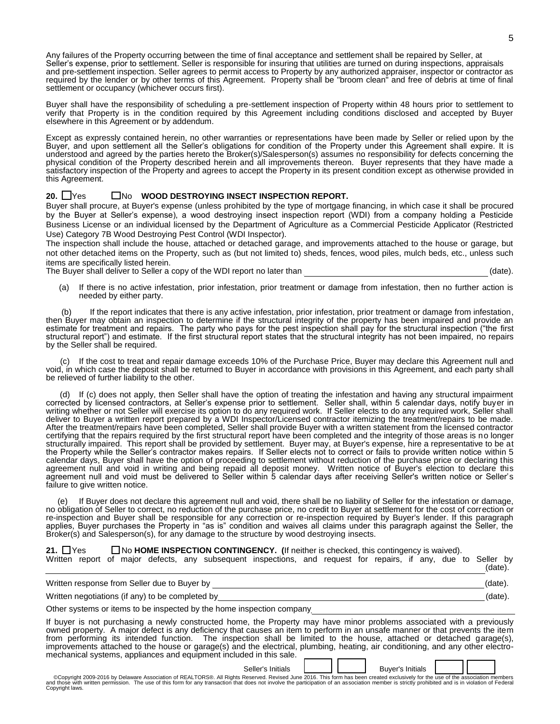Any failures of the Property occurring between the time of final acceptance and settlement shall be repaired by Seller, at Seller's expense, prior to settlement. Seller is responsible for insuring that utilities are turned on during inspections, appraisals and pre-settlement inspection. Seller agrees to permit access to Property by any authorized appraiser, inspector or contractor as required by the lender or by other terms of this Agreement. Property shall be "broom clean" and free of debris at time of final settlement or occupancy (whichever occurs first).

Buyer shall have the responsibility of scheduling a pre-settlement inspection of Property within 48 hours prior to settlement to verify that Property is in the condition required by this Agreement including conditions disclosed and accepted by Buyer elsewhere in this Agreement or by addendum.

Except as expressly contained herein, no other warranties or representations have been made by Seller or relied upon by the Buyer, and upon settlement all the Seller's obligations for condition of the Property under this Agreement shall expire. It is understood and agreed by the parties hereto the Broker(s)/Salesperson(s) assumes no responsibility for defects concerning the physical condition of the Property described herein and all improvements thereon. Buyer represents that they have made a satisfactory inspection of the Property and agrees to accept the Property in its present condition except as otherwise provided in this Agreement.

## 20. **No. 8 INDUSTED MESTROYING INSECT INSPECTION REPORT.**

Buyer shall procure, at Buyer's expense (unless prohibited by the type of mortgage financing, in which case it shall be procured by the Buyer at Seller's expense), a wood destroying insect inspection report (WDI) from a company holding a Pesticide Business License or an individual licensed by the Department of Agriculture as a Commercial Pesticide Applicator (Restricted Use) Category 7B Wood Destroying Pest Control (WDI Inspector).

The inspection shall include the house, attached or detached garage, and improvements attached to the house or garage, but not other detached items on the Property, such as (but not limited to) sheds, fences, wood piles, mulch beds, etc., unless such items are specifically listed herein.

The Buyer shall deliver to Seller a copy of the WDI report no later than **EXACT 10** (date).

(a) If there is no active infestation, prior infestation, prior treatment or damage from infestation, then no further action is needed by either party.

 (b) If the report indicates that there is any active infestation, prior infestation, prior treatment or damage from infestation, then Buyer may obtain an inspection to determine if the structural integrity of the property has been impaired and provide an estimate for treatment and repairs. The party who pays for the pest inspection shall pay for the structural inspection ("the first structural report") and estimate. If the first structural report states that the structural integrity has not been impaired, no repairs by the Seller shall be required.

 (c) If the cost to treat and repair damage exceeds 10% of the Purchase Price, Buyer may declare this Agreement null and void, in which case the deposit shall be returned to Buyer in accordance with provisions in this Agreement, and each party shall be relieved of further liability to the other.

 (d) If (c) does not apply, then Seller shall have the option of treating the infestation and having any structural impairment corrected by licensed contractors, at Seller's expense prior to settlement. Seller shall, within 5 calendar days, notify buyer in writing whether or not Seller will exercise its option to do any required work. If Seller elects to do any required work, Seller shall deliver to Buyer a written report prepared by a WDI Inspector/Licensed contractor itemizing the treatment/repairs to be made. After the treatment/repairs have been completed, Seller shall provide Buyer with a written statement from the licensed contractor certifying that the repairs required by the first structural report have been completed and the integrity of those areas is no longer structurally impaired. This report shall be provided by settlement. Buyer may, at Buyer's expense, hire a representative to be at the Property while the Seller's contractor makes repairs. If Seller elects not to correct or fails to provide written notice within 5 calendar days, Buyer shall have the option of proceeding to settlement without reduction of the purchase price or declaring this agreement null and void in writing and being repaid all deposit money. Written notice of Buyer's election to declare this agreement null and void must be delivered to Seller within 5 calendar days after receiving Seller's written notice or Seller's failure to give written notice.

If Buyer does not declare this agreement null and void, there shall be no liability of Seller for the infestation or damage, no obligation of Seller to correct, no reduction of the purchase price, no credit to Buyer at settlement for the cost of correction or re-inspection and Buyer shall be responsible for any correction or re-inspection required by Buyer's lender. If this paragraph applies, Buyer purchases the Property in "as is" condition and waives all claims under this paragraph against the Seller, the Broker(s) and Salesperson(s), for any damage to the structure by wood destroying insects.

# **21.** □ Yes □ No HOME INSPECTION CONTINGENCY. (If neither is checked, this contingency is waived).

| Written                                          |                                              |  |  |  |  |  | report of major defects, any subsequent inspections, and request for repairs, if any, due to Seller by |  |         |         |  |  |         |  |
|--------------------------------------------------|----------------------------------------------|--|--|--|--|--|--------------------------------------------------------------------------------------------------------|--|---------|---------|--|--|---------|--|
|                                                  |                                              |  |  |  |  |  |                                                                                                        |  |         |         |  |  | (date). |  |
|                                                  | Written response from Seller due to Buyer by |  |  |  |  |  |                                                                                                        |  | (date). |         |  |  |         |  |
| Written negotiations (if any) to be completed by |                                              |  |  |  |  |  |                                                                                                        |  |         | (date). |  |  |         |  |

Other systems or items to be inspected by the home inspection company

If buyer is not purchasing a newly constructed home, the Property may have minor problems associated with a previously owned property. A major defect is any deficiency that causes an item to perform in an unsafe manner or that prevents the item from performing its intended function. The inspection shall be limited to the house, attached or detached garage(s), improvements attached to the house or garage(s) and the electrical, plumbing, heating, air conditioning, and any other electromechanical systems, appliances and equipment included in this sale.

Seller's Initials **Later Buyer's Initials** 

Copyright 2009-2016 by Delaware Association of REALTORS®. All Rights Reserved. Revised June 2016. This form has been created exclusively for the use of the association members and those with written permission. The use of Copyright laws.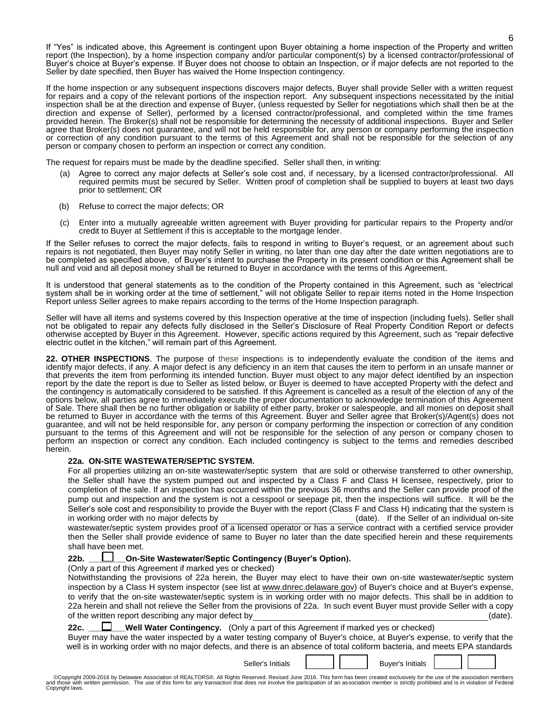If "Yes" is indicated above, this Agreement is contingent upon Buyer obtaining a home inspection of the Property and written report (the Inspection), by a home inspection company and/or particular component(s) by a licensed contractor/professional of Buyer's choice at Buyer's expense. If Buyer does not choose to obtain an Inspection, or if major defects are not reported to the Seller by date specified, then Buyer has waived the Home Inspection contingency.

If the home inspection or any subsequent inspections discovers major defects, Buyer shall provide Seller with a written request for repairs and a copy of the relevant portions of the inspection report. Any subsequent inspections necessitated by the initial inspection shall be at the direction and expense of Buyer, (unless requested by Seller for negotiations which shall then be at the direction and expense of Seller), performed by a licensed contractor/professional, and completed within the time frames provided herein. The Broker(s) shall not be responsible for determining the necessity of additional inspections. Buyer and Seller agree that Broker(s) does not guarantee, and will not be held responsible for, any person or company performing the inspection or correction of any condition pursuant to the terms of this Agreement and shall not be responsible for the selection of any person or company chosen to perform an inspection or correct any condition.

The request for repairs must be made by the deadline specified. Seller shall then, in writing:

- (a) Agree to correct any major defects at Seller's sole cost and, if necessary, by a licensed contractor/professional. All required permits must be secured by Seller. Written proof of completion shall be supplied to buyers at least two days prior to settlement; OR
- (b) Refuse to correct the major defects; OR
- (c) Enter into a mutually agreeable written agreement with Buyer providing for particular repairs to the Property and/or credit to Buyer at Settlement if this is acceptable to the mortgage lender.

If the Seller refuses to correct the major defects, fails to respond in writing to Buyer's request, or an agreement about such repairs is not negotiated, then Buyer may notify Seller in writing, no later than one day after the date written negotiations are to be completed as specified above, of Buyer's intent to purchase the Property in its present condition or this Agreement shall be null and void and all deposit money shall be returned to Buyer in accordance with the terms of this Agreement.

It is understood that general statements as to the condition of the Property contained in this Agreement, such as "electrical system shall be in working order at the time of settlement," will not obligate Seller to repair items noted in the Home Inspection Report unless Seller agrees to make repairs according to the terms of the Home Inspection paragraph.

Seller will have all items and systems covered by this Inspection operative at the time of inspection (including fuels). Seller shall not be obligated to repair any defects fully disclosed in the Seller's Disclosure of Real Property Condition Report or defects otherwise accepted by Buyer in this Agreement. However, specific actions required by this Agreement, such as "repair defective electric outlet in the kitchen," will remain part of this Agreement.

**22. OTHER INSPECTIONS**. The purpose of these inspections is to independently evaluate the condition of the items and identify major defects, if any. A major defect is any deficiency in an item that causes the item to perform in an unsafe manner or that prevents the item from performing its intended function. Buyer must object to any major defect identified by an inspection report by the date the report is due to Seller as listed below, or Buyer is deemed to have accepted Property with the defect and the contingency is automatically considered to be satisfied. If this Agreement is cancelled as a result of the election of any of the options below, all parties agree to immediately execute the proper documentation to acknowledge termination of this Agreement of Sale. There shall then be no further obligation or liability of either party, broker or salespeople, and all monies on deposit shall be returned to Buyer in accordance with the terms of this Agreement. Buyer and Seller agree that Broker(s)/Agent(s) does not guarantee, and will not be held responsible for, any person or company performing the inspection or correction of any condition pursuant to the terms of this Agreement and will not be responsible for the selection of any person or company chosen to perform an inspection or correct any condition. Each included contingency is subject to the terms and remedies described herein.

#### **22a. ON-SITE WASTEWATER/SEPTIC SYSTEM.**

| For all properties utilizing an on-site wastewater/septic system that are sold or otherwise transferred to other ownership.    |                                                |
|--------------------------------------------------------------------------------------------------------------------------------|------------------------------------------------|
| the Seller shall have the system pumped out and inspected by a Class F and Class H licensee, respectively, prior to            |                                                |
| completion of the sale. If an inspection has occurred within the previous 36 months and the Seller can provide proof of the    |                                                |
| pump out and inspection and the system is not a cesspool or seepage pit, then the inspections will suffice. It will be the     |                                                |
| Seller's sole cost and responsibility to provide the Buyer with the report (Class F and Class H) indicating that the system is |                                                |
| in working order with no major defects by                                                                                      | (date). If the Seller of an individual on-site |
| wastewater/septic system provides proof of a licensed operator or has a service contract with a certified service provider     |                                                |
| then the Seller shall provide evidence of same to Buyer no later than the date specified herein and these requirements         |                                                |
| shall have been met.                                                                                                           |                                                |
| <b>On-Site Wastewater/Septic Contingency (Buyer's Option).</b><br>22b. $\Box$                                                  |                                                |

(Only a part of this Agreement if marked yes or checked)

Notwithstanding the provisions of 22a herein, the Buyer may elect to have their own on-site wastewater/septic system inspection by a Class H system inspector (see list at [www.dnrec.delaware.gov\)](http://www.dnrec.delaware.gov/) of Buyer's choice and at Buyer's expense, to verify that the on-site wastewater/septic system is in working order with no major defects. This shall be in addition to 22a herein and shall not relieve the Seller from the provisions of 22a. In such event Buyer must provide Seller with a copy of the written report describing any major defect by  $(date).$ 

**22c.** \_\_**\_\_\_\_\_\_Well Water Contingency.** (Only a part of this Agreement if marked yes or checked)

Buyer may have the water inspected by a water testing company of Buyer's choice, at Buyer's expense, to verify that the well is in working order with no major defects, and there is an absence of total coliform bacteria, and meets EPA standards

Seller's Initials  $\begin{array}{ccc} \vert & \vert & \vert \end{array}$  Buyer's Initials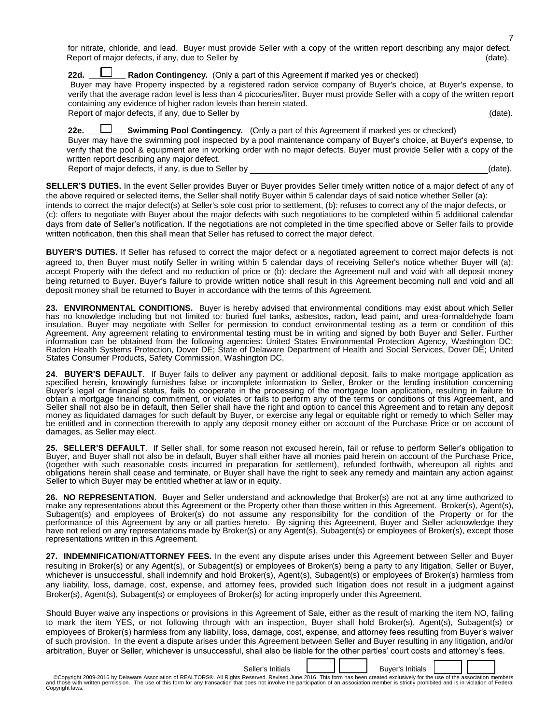for nitrate, chloride, and lead. Buyer must provide Seller with a copy of the written report describing any major defect. Report of major defects, if any, due to Seller by \_\_\_\_\_\_\_\_\_\_\_\_\_\_\_\_\_\_\_\_\_\_\_\_\_\_\_\_\_\_\_\_\_\_\_\_\_\_\_\_\_\_\_\_\_\_\_\_\_\_\_\_\_ (date).

**22d. LETT** Radon Contingency. (Only a part of this Agreement if marked yes or checked) Buyer may have Property inspected by a registered radon service company of Buyer's choice, at Buyer's expense, to verify that the average radon level is less than 4 picocuries/liter. Buyer must provide Seller with a copy of the written report containing any evidence of higher radon levels than herein stated. Report of major defects, if any, due to Seller by \_\_\_\_\_\_\_\_\_\_\_\_\_\_\_\_\_\_\_\_\_\_\_\_\_\_\_\_\_\_\_\_\_\_\_\_\_\_\_\_\_\_\_\_\_\_\_\_\_\_\_\_\_\_(date).

22e. **LETT Swimming Pool Contingency.** (Only a part of this Agreement if marked yes or checked) Buyer may have the swimming pool inspected by a pool maintenance company of Buyer's choice, at Buyer's expense, to verify that the pool & equipment are in working order with no major defects. Buyer must provide Seller with a copy of the written report describing any major defect. Report of major defects, if any, is due to Seller by \_\_\_\_\_\_\_\_\_\_\_\_\_\_\_\_\_\_\_\_\_\_\_\_\_\_\_\_\_\_\_\_\_\_\_\_\_\_\_\_\_\_\_\_\_\_\_\_\_\_\_\_(date).

**SELLER'S DUTIES.** In the event Seller provides Buyer or Buyer provides Seller timely written notice of a major defect of any of the above required or selected items, the Seller shall notify Buyer within 5 calendar days of said notice whether Seller (a): intends to correct the major defect(s) at Seller's sole cost prior to settlement, (b): refuses to correct any of the major defects, or (c): offers to negotiate with Buyer about the major defects with such negotiations to be completed within 5 additional calendar days from date of Seller's notification. If the negotiations are not completed in the time specified above or Seller fails to provide written notification, then this shall mean that Seller has refused to correct the major defect.

**BUYER'S DUTIES.** If Seller has refused to correct the major defect or a negotiated agreement to correct major defects is not agreed to, then Buyer must notify Seller in writing within 5 calendar days of receiving Seller's notice whether Buyer will (a): accept Property with the defect and no reduction of price or (b): declare the Agreement null and void with all deposit money being returned to Buyer. Buyer's failure to provide written notice shall result in this Agreement becoming null and void and all deposit money shall be returned to Buyer in accordance with the terms of this Agreement.

**23. ENVIRONMENTAL CONDITIONS.** Buyer is hereby advised that environmental conditions may exist about which Seller has no knowledge including but not limited to: buried fuel tanks, asbestos, radon, lead paint, and urea-formaldehyde foam insulation. Buyer may negotiate with Seller for permission to conduct environmental testing as a term or condition of this Agreement. Any agreement relating to environmental testing must be in writing and signed by both Buyer and Seller. Further information can be obtained from the following agencies: United States Environmental Protection Agency, Washington DC; Radon Health Systems Protection, Dover DE; State of Delaware Department of Health and Social Services, Dover DE; United States Consumer Products, Safety Commission, Washington DC.

**24**. **BUYER'S DEFAULT**. If Buyer fails to deliver any payment or additional deposit, fails to make mortgage application as specified herein, knowingly furnishes false or incomplete information to Seller, Broker or the lending institution concerning Buyer's legal or financial status, fails to cooperate in the processing of the mortgage loan application, resulting in failure to obtain a mortgage financing commitment, or violates or fails to perform any of the terms or conditions of this Agreement, and Seller shall not also be in default, then Seller shall have the right and option to cancel this Agreement and to retain any deposit money as liquidated damages for such default by Buyer, or exercise any legal or equitable right or remedy to which Seller may be entitled and in connection therewith to apply any deposit money either on account of the Purchase Price or on account of damages, as Seller may elect.

**25. SELLER'S DEFAULT**. If Seller shall, for some reason not excused herein, fail or refuse to perform Seller's obligation to Buyer, and Buyer shall not also be in default, Buyer shall either have all monies paid herein on account of the Purchase Price, (together with such reasonable costs incurred in preparation for settlement), refunded forthwith, whereupon all rights and obligations herein shall cease and terminate, or Buyer shall have the right to seek any remedy and maintain any action against Seller to which Buyer may be entitled whether at law or in equity.

**26. NO REPRESENTATION**. Buyer and Seller understand and acknowledge that Broker(s) are not at any time authorized to make any representations about this Agreement or the Property other than those written in this Agreement. Broker(s), Agent(s), Subagent(s) and employees of Broker(s) do not assume any responsibility for the condition of the Property or for the performance of this Agreement by any or all parties hereto. By signing this Agreement, Buyer and Seller acknowledge they have not relied on any representations made by Broker(s) or any Agent(s), Subagent(s) or employees of Broker(s), except those representations written in this Agreement.

**27. INDEMNIFICATION**/**ATTORNEY FEES.** In the event any dispute arises under this Agreement between Seller and Buyer resulting in Broker(s) or any Agent(s), or Subagent(s) or employees of Broker(s) being a party to any litigation, Seller or Buyer, whichever is unsuccessful, shall indemnify and hold Broker(s), Agent(s), Subagent(s) or employees of Broker(s) harmless from any liability, loss, damage, cost, expense, and attorney fees, provided such litigation does not result in a judgment against Broker(s), Agent(s), Subagent(s) or employees of Broker(s) for acting improperly under this Agreement.

Should Buyer waive any inspections or provisions in this Agreement of Sale, either as the result of marking the item NO, failing to mark the item YES, or not following through with an inspection, Buyer shall hold Broker(s), Agent(s), Subagent(s) or employees of Broker(s) harmless from any liability, loss, damage, cost, expense, and attorney fees resulting from Buyer's waiver of such provision. In the event a dispute arises under this Agreement between Seller and Buyer resulting in any litigation, and/or arbitration, Buyer or Seller, whichever is unsuccessful, shall also be liable for the other parties' court costs and attorney's fees.

Seller's Initials **Letter Buyer's Initials** 

Copyright 2009-2016 by Delaware Association of REALTORS®. All Rights Reserved. Revised June 2016. This form has been created exclusively for the use of the association members and those with written permission. The use of Copyright laws.

7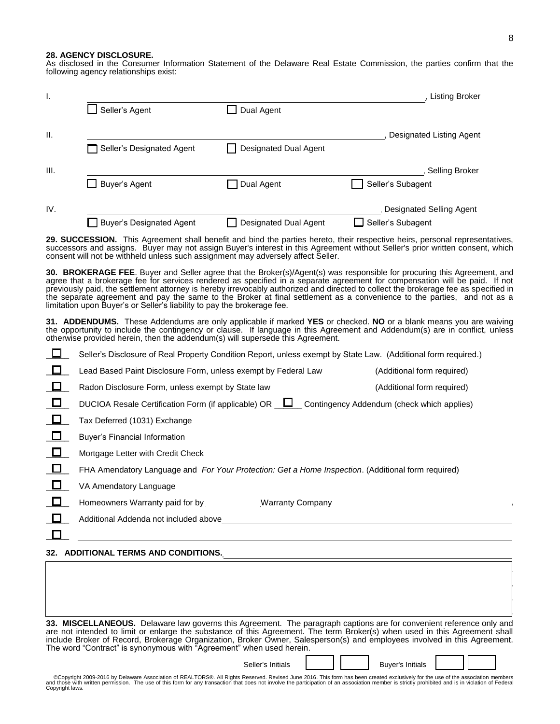#### **28. AGENCY DISCLOSURE.**

As disclosed in the Consumer Information Statement of the Delaware Real Estate Commission, the parties confirm that the following agency relationships exist:

|                                 |                              | , Listing Broker         |
|---------------------------------|------------------------------|--------------------------|
| Seller's Agent                  | Dual Agent                   |                          |
|                                 |                              | Designated Listing Agent |
| Seller's Designated Agent       | <b>Designated Dual Agent</b> |                          |
|                                 |                              | <b>Selling Broker</b>    |
| Buyer's Agent                   | Dual Agent                   | Seller's Subagent        |
|                                 |                              | Designated Selling Agent |
| <b>Buyer's Designated Agent</b> | <b>Designated Dual Agent</b> | Seller's Subagent        |

**29. SUCCESSION.** This Agreement shall benefit and bind the parties hereto, their respective heirs, personal representatives, successors and assigns. Buyer may not assign Buyer's interest in this Agreement without Seller's prior written consent, which consent will not be withheld unless such assignment may adversely affect Seller.

**30. BROKERAGE FEE**. Buyer and Seller agree that the Broker(s)/Agent(s) was responsible for procuring this Agreement, and agree that a brokerage fee for services rendered as specified in a separate agreement for compensation will be paid. If not previously paid, the settlement attorney is hereby irrevocably authorized and directed to collect the brokerage fee as specified in the separate agreement and pay the same to the Broker at final settlement as a convenience to the parties, and not as a limitation upon Buyer's or Seller's liability to pay the brokerage fee.

**31. ADDENDUMS.** These Addendums are only applicable if marked **YES** or checked. **NO** or a blank means you are waiving the opportunity to include the contingency or clause. If language in this Agreement and Addendum(s) are in conflict, unless otherwise provided herein, then the addendum(s) will supersede this Agreement.

| Seller's Disclosure of Real Property Condition Report, unless exempt by State Law. (Additional form required.) |                            |
|----------------------------------------------------------------------------------------------------------------|----------------------------|
| Lead Based Paint Disclosure Form, unless exempt by Federal Law                                                 | (Additional form required) |
| Radon Disclosure Form, unless exempt by State law                                                              | (Additional form required) |
| DUCIOA Resale Certification Form (if applicable) $OR \_ \_ \_$ Contingency Addendum (check which applies)      |                            |
| Tax Deferred (1031) Exchange                                                                                   |                            |
| <b>Buyer's Financial Information</b>                                                                           |                            |
| Mortgage Letter with Credit Check                                                                              |                            |
| FHA Amendatory Language and For Your Protection: Get a Home Inspection. (Additional form required)             |                            |
| VA Amendatory Language                                                                                         |                            |
| Homeowners Warranty paid for by Warranty Company                                                               |                            |
| Additional Addenda not included above                                                                          |                            |
|                                                                                                                |                            |
|                                                                                                                |                            |

### **32. ADDITIONAL TERMS AND CONDITIONS.**

|  | 33. MISCELLANEOUS. Delaware law governs this Agreement. The paragraph captions are for convenient reference only and       |  |  |  |
|--|----------------------------------------------------------------------------------------------------------------------------|--|--|--|
|  | are not intended to limit or enlarge the substance of this Agreement. The term Broker(s) when used in this Agreement shall |  |  |  |
|  | include Broker of Record, Brokerage Organization, Broker Owner, Salesperson(s) and employees involved in this Agreement.   |  |  |  |
|  | The word "Contract" is synonymous with "Agreement" when used herein.                                                       |  |  |  |

 $\mathcal{L}_\text{max} = \mathcal{L}_\text{max} = \mathcal{L}_\text{max} = \mathcal{L}_\text{max} = \mathcal{L}_\text{max} = \mathcal{L}_\text{max} = \mathcal{L}_\text{max} = \mathcal{L}_\text{max} = \mathcal{L}_\text{max} = \mathcal{L}_\text{max} = \mathcal{L}_\text{max} = \mathcal{L}_\text{max} = \mathcal{L}_\text{max} = \mathcal{L}_\text{max} = \mathcal{L}_\text{max} = \mathcal{L}_\text{max} = \mathcal{L}_\text{max} = \mathcal{L}_\text{max} = \mathcal{$ \_\_\_\_\_\_\_\_\_\_\_\_\_\_\_\_\_\_\_\_\_\_\_\_\_\_\_\_\_\_\_\_\_\_\_\_\_\_\_\_\_\_\_\_\_\_\_\_\_\_\_\_\_\_\_\_\_\_\_\_\_\_\_\_\_\_\_\_\_\_\_\_\_\_\_\_\_\_\_\_\_\_\_\_\_\_\_\_\_\_\_\_\_\_\_\_\_\_\_\_\_\_  $\mathcal{L}_\text{max} = \mathcal{L}_\text{max} = \mathcal{L}_\text{max} = \mathcal{L}_\text{max} = \mathcal{L}_\text{max} = \mathcal{L}_\text{max} = \mathcal{L}_\text{max} = \mathcal{L}_\text{max} = \mathcal{L}_\text{max} = \mathcal{L}_\text{max} = \mathcal{L}_\text{max} = \mathcal{L}_\text{max} = \mathcal{L}_\text{max} = \mathcal{L}_\text{max} = \mathcal{L}_\text{max} = \mathcal{L}_\text{max} = \mathcal{L}_\text{max} = \mathcal{L}_\text{max} = \mathcal{$  $\mathcal{L}_\text{max} = \mathcal{L}_\text{max} = \mathcal{L}_\text{max} = \mathcal{L}_\text{max} = \mathcal{L}_\text{max} = \mathcal{L}_\text{max} = \mathcal{L}_\text{max} = \mathcal{L}_\text{max} = \mathcal{L}_\text{max} = \mathcal{L}_\text{max} = \mathcal{L}_\text{max} = \mathcal{L}_\text{max} = \mathcal{L}_\text{max} = \mathcal{L}_\text{max} = \mathcal{L}_\text{max} = \mathcal{L}_\text{max} = \mathcal{L}_\text{max} = \mathcal{L}_\text{max} = \mathcal{$ 

Seller's Initials  $\begin{array}{ccc} \vert & \vert & \vert \end{array}$  Buyer's Initials